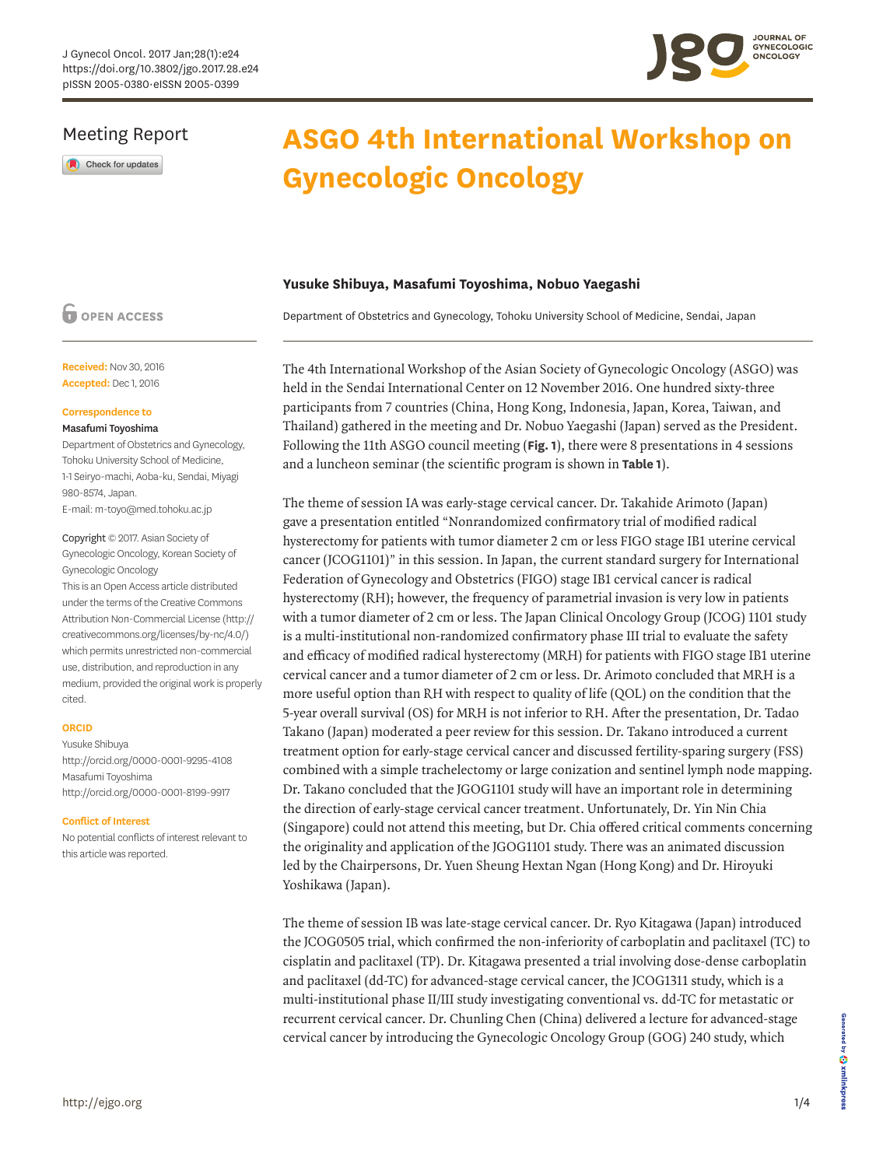

### Meeting Report

Check for updates

# **ASGO 4th International Workshop on Gynecologic Oncology**

## **O** OPEN ACCESS

**Received:** Nov 30, 2016 **Accepted:** Dec 1, 2016

#### **Correspondence to**

#### Masafumi Toyoshima

Department of Obstetrics and Gynecology, Tohoku University School of Medicine, 1-1 Seiryo-machi, Aoba-ku, Sendai, Miyagi 980-8574, Japan. E-mail: m-toyo@med.tohoku.ac.jp

Copyright © 2017. Asian Society of Gynecologic Oncology, Korean Society of Gynecologic Oncology This is an Open Access article distributed under the terms of the Creative Commons Attribution Non-Commercial License ([http://](http://creativecommons.org/licenses/by-nc/4.0/) [creativecommons.org/licenses/by-nc/4.0/\)](http://creativecommons.org/licenses/by-nc/4.0/) which permits unrestricted non-commercial use, distribution, and reproduction in any medium, provided the original work is properly cited.

#### **ORCID**

Yusuke Shibuya <http://orcid.org/0000-0001-9295-4108> Masafumi Toyoshima <http://orcid.org/0000-0001-8199-9917>

#### **Conflict of Interest**

No potential conflicts of interest relevant to this article was reported.

#### **Yusuke Shibuya, Masafumi Toyoshima, Nobuo Yaegashi**

Department of Obstetrics and Gynecology, Tohoku University School of Medicine, Sendai, Japan

The 4th International Workshop of the Asian Society of Gynecologic Oncology (ASGO) was held in the Sendai International Center on 12 November 2016. One hundred sixty-three participants from 7 countries (China, Hong Kong, Indonesia, Japan, Korea, Taiwan, and Thailand) gathered in the meeting and Dr. Nobuo Yaegashi (Japan) served as the President. Following the 11th ASGO council meeting (**[Fig. 1](#page-1-0)**), there were 8 presentations in 4 sessions and a luncheon seminar (the scientific program is shown in **[Table 1](#page-1-1)**).

The theme of session IA was early-stage cervical cancer. Dr. Takahide Arimoto (Japan) gave a presentation entitled "Nonrandomized confirmatory trial of modified radical hysterectomy for patients with tumor diameter 2 cm or less FIGO stage IB1 uterine cervical cancer (JCOG1101)" in this session. In Japan, the current standard surgery for International Federation of Gynecology and Obstetrics (FIGO) stage IB1 cervical cancer is radical hysterectomy (RH); however, the frequency of parametrial invasion is very low in patients with a tumor diameter of 2 cm or less. The Japan Clinical Oncology Group (JCOG) 1101 study is a multi-institutional non-randomized confirmatory phase III trial to evaluate the safety and efficacy of modified radical hysterectomy (MRH) for patients with FIGO stage IB1 uterine cervical cancer and a tumor diameter of 2 cm or less. Dr. Arimoto concluded that MRH is a more useful option than RH with respect to quality of life (QOL) on the condition that the 5-year overall survival (OS) for MRH is not inferior to RH. After the presentation, Dr. Tadao Takano (Japan) moderated a peer review for this session. Dr. Takano introduced a current treatment option for early-stage cervical cancer and discussed fertility-sparing surgery (FSS) combined with a simple trachelectomy or large conization and sentinel lymph node mapping. Dr. Takano concluded that the JGOG1101 study will have an important role in determining the direction of early-stage cervical cancer treatment. Unfortunately, Dr. Yin Nin Chia (Singapore) could not attend this meeting, but Dr. Chia offered critical comments concerning the originality and application of the JGOG1101 study. There was an animated discussion led by the Chairpersons, Dr. Yuen Sheung Hextan Ngan (Hong Kong) and Dr. Hiroyuki Yoshikawa (Japan).

The theme of session IB was late-stage cervical cancer. Dr. Ryo Kitagawa (Japan) introduced the JCOG0505 trial, which confirmed the non-inferiority of carboplatin and paclitaxel (TC) to cisplatin and paclitaxel (TP). Dr. Kitagawa presented a trial involving dose-dense carboplatin and paclitaxel (dd-TC) for advanced-stage cervical cancer, the JCOG1311 study, which is a multi-institutional phase II/III study investigating conventional vs. dd-TC for metastatic or recurrent cervical cancer. Dr. Chunling Chen (China) delivered a lecture for advanced-stage cervical cancer by introducing the Gynecologic Oncology Group (GOG) 240 study, which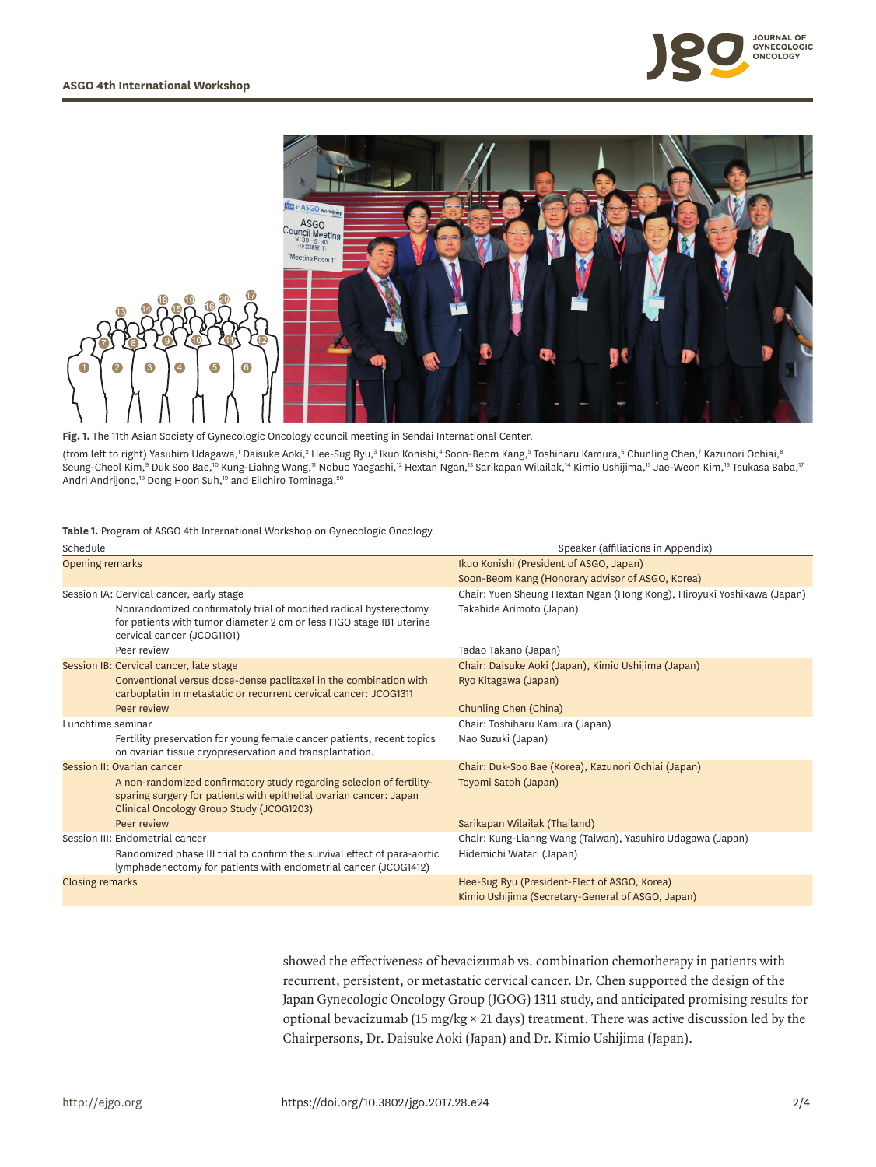



<span id="page-1-0"></span>**Fig. 1.** The 11th Asian Society of Gynecologic Oncology council meeting in Sendai International Center.

(from left to right) Yasuhiro Udagawa,' Daisuke Aoki, $^2$ Hee-Sug Ryu, $^3$ Ikuo Konishi, $^4$ Soon-Beom Kang, $^5$ Toshiharu Kamura, $^6$ Chunling Chen, $^7$  Kazunori Ochiai, $^6$ Seung-Cheol Kim,<sup>9</sup> Duk Soo Bae,<sup>10</sup> Kung-Liahng Wang,™ Nobuo Yaegashi,™ Hextan Ngan,™ Sarikapan Wilailak,™ Kimio Ushijima,™ Jae-Weon Kim,™ Tsukasa Baba,™ Andri Andrijono,<sup>18</sup> Dong Hoon Suh,<sup>19</sup> and Eiichiro Tominaga.<sup>20</sup>

<span id="page-1-1"></span>**Table 1.** Program of ASGO 4th International Workshop on Gynecologic Oncology

| Schedule                                                                                                                                                                               | Speaker (affiliations in Appendix)                                     |
|----------------------------------------------------------------------------------------------------------------------------------------------------------------------------------------|------------------------------------------------------------------------|
| <b>Opening remarks</b>                                                                                                                                                                 | Ikuo Konishi (President of ASGO, Japan)                                |
|                                                                                                                                                                                        | Soon-Beom Kang (Honorary advisor of ASGO, Korea)                       |
| Session IA: Cervical cancer, early stage                                                                                                                                               | Chair: Yuen Sheung Hextan Ngan (Hong Kong), Hiroyuki Yoshikawa (Japan) |
| Nonrandomized confirmatoly trial of modified radical hysterectomy<br>for patients with tumor diameter 2 cm or less FIGO stage IB1 uterine<br>cervical cancer (JCOG1101)                | Takahide Arimoto (Japan)                                               |
| Peer review                                                                                                                                                                            | Tadao Takano (Japan)                                                   |
| Session IB: Cervical cancer, late stage                                                                                                                                                | Chair: Daisuke Aoki (Japan), Kimio Ushijima (Japan)                    |
| Conventional versus dose-dense paclitaxel in the combination with<br>carboplatin in metastatic or recurrent cervical cancer: JCOG1311                                                  | Ryo Kitagawa (Japan)                                                   |
| Peer review                                                                                                                                                                            | Chunling Chen (China)                                                  |
| Lunchtime seminar                                                                                                                                                                      | Chair: Toshiharu Kamura (Japan)                                        |
| Fertility preservation for young female cancer patients, recent topics<br>on ovarian tissue cryopreservation and transplantation.                                                      | Nao Suzuki (Japan)                                                     |
| Session II: Ovarian cancer                                                                                                                                                             | Chair: Duk-Soo Bae (Korea), Kazunori Ochiai (Japan)                    |
| A non-randomized confirmatory study regarding selecion of fertility-<br>sparing surgery for patients with epithelial ovarian cancer: Japan<br>Clinical Oncology Group Study (JCOG1203) | Toyomi Satoh (Japan)                                                   |
| Peer review                                                                                                                                                                            | Sarikapan Wilailak (Thailand)                                          |
| Session III: Endometrial cancer                                                                                                                                                        | Chair: Kung-Liahng Wang (Taiwan), Yasuhiro Udagawa (Japan)             |
| Randomized phase III trial to confirm the survival effect of para-aortic<br>lymphadenectomy for patients with endometrial cancer (JCOG1412)                                            | Hidemichi Watari (Japan)                                               |
| <b>Closing remarks</b>                                                                                                                                                                 | Hee-Sug Ryu (President-Elect of ASGO, Korea)                           |
|                                                                                                                                                                                        | Kimio Ushijima (Secretary-General of ASGO, Japan)                      |

showed the effectiveness of bevacizumab vs. combination chemotherapy in patients with recurrent, persistent, or metastatic cervical cancer. Dr. Chen supported the design of the Japan Gynecologic Oncology Group (JGOG) 1311 study, and anticipated promising results for optional bevacizumab (15 mg/kg × 21 days) treatment. There was active discussion led by the Chairpersons, Dr. Daisuke Aoki (Japan) and Dr. Kimio Ushijima (Japan).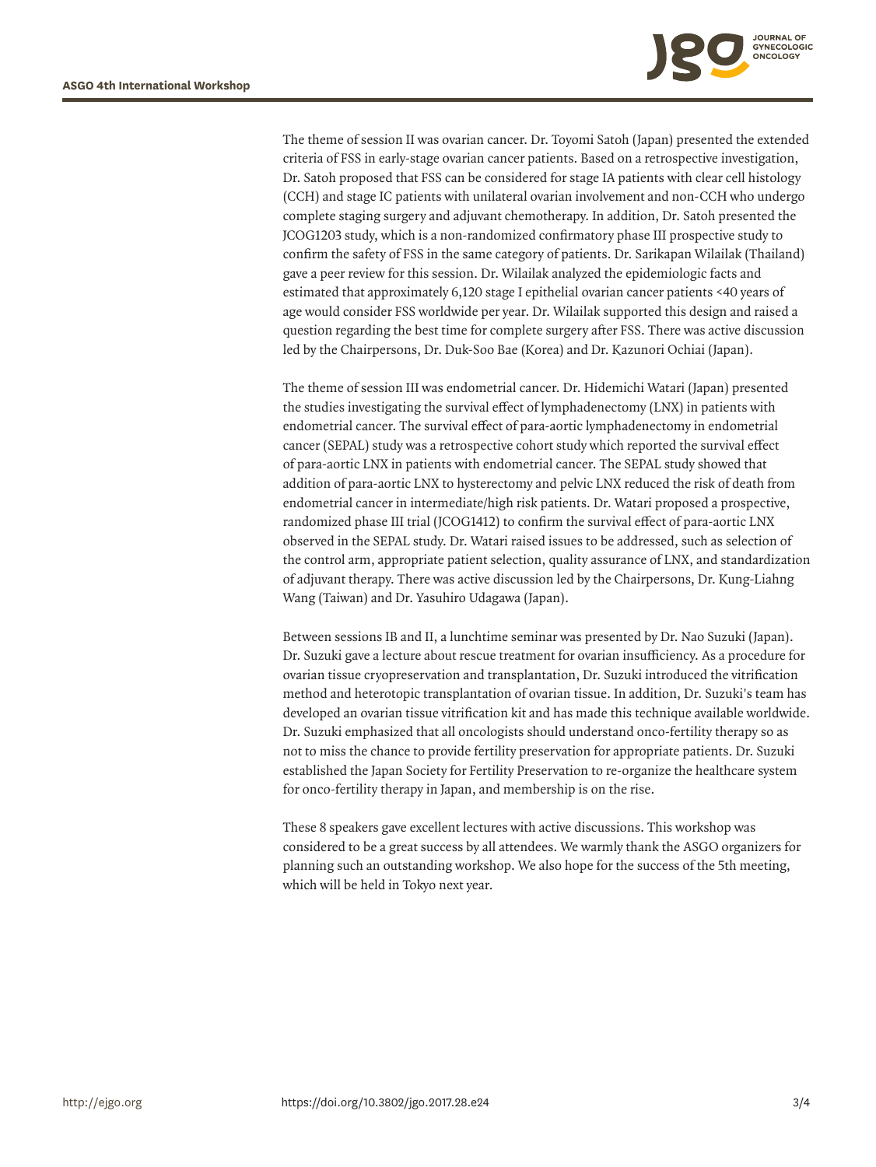

The theme of session II was ovarian cancer. Dr. Toyomi Satoh (Japan) presented the extended criteria of FSS in early-stage ovarian cancer patients. Based on a retrospective investigation, Dr. Satoh proposed that FSS can be considered for stage IA patients with clear cell histology (CCH) and stage IC patients with unilateral ovarian involvement and non-CCH who undergo complete staging surgery and adjuvant chemotherapy. In addition, Dr. Satoh presented the JCOG1203 study, which is a non-randomized confirmatory phase III prospective study to confirm the safety of FSS in the same category of patients. Dr. Sarikapan Wilailak (Thailand) gave a peer review for this session. Dr. Wilailak analyzed the epidemiologic facts and estimated that approximately 6,120 stage I epithelial ovarian cancer patients <40 years of age would consider FSS worldwide per year. Dr. Wilailak supported this design and raised a question regarding the best time for complete surgery after FSS. There was active discussion led by the Chairpersons, Dr. Duk-Soo Bae (Korea) and Dr. Kazunori Ochiai (Japan).

The theme of session III was endometrial cancer. Dr. Hidemichi Watari (Japan) presented the studies investigating the survival effect of lymphadenectomy (LNX) in patients with endometrial cancer. The survival effect of para-aortic lymphadenectomy in endometrial cancer (SEPAL) study was a retrospective cohort study which reported the survival effect of para-aortic LNX in patients with endometrial cancer. The SEPAL study showed that addition of para-aortic LNX to hysterectomy and pelvic LNX reduced the risk of death from endometrial cancer in intermediate/high risk patients. Dr. Watari proposed a prospective, randomized phase III trial (JCOG1412) to confirm the survival effect of para-aortic LNX observed in the SEPAL study. Dr. Watari raised issues to be addressed, such as selection of the control arm, appropriate patient selection, quality assurance of LNX, and standardization of adjuvant therapy. There was active discussion led by the Chairpersons, Dr. Kung-Liahng Wang (Taiwan) and Dr. Yasuhiro Udagawa (Japan).

Between sessions IB and II, a lunchtime seminar was presented by Dr. Nao Suzuki (Japan). Dr. Suzuki gave a lecture about rescue treatment for ovarian insufficiency. As a procedure for ovarian tissue cryopreservation and transplantation, Dr. Suzuki introduced the vitrification method and heterotopic transplantation of ovarian tissue. In addition, Dr. Suzuki's team has developed an ovarian tissue vitrification kit and has made this technique available worldwide. Dr. Suzuki emphasized that all oncologists should understand onco-fertility therapy so as not to miss the chance to provide fertility preservation for appropriate patients. Dr. Suzuki established the Japan Society for Fertility Preservation to re-organize the healthcare system for onco-fertility therapy in Japan, and membership is on the rise.

These 8 speakers gave excellent lectures with active discussions. This workshop was considered to be a great success by all attendees. We warmly thank the ASGO organizers for planning such an outstanding workshop. We also hope for the success of the 5th meeting, which will be held in Tokyo next year.